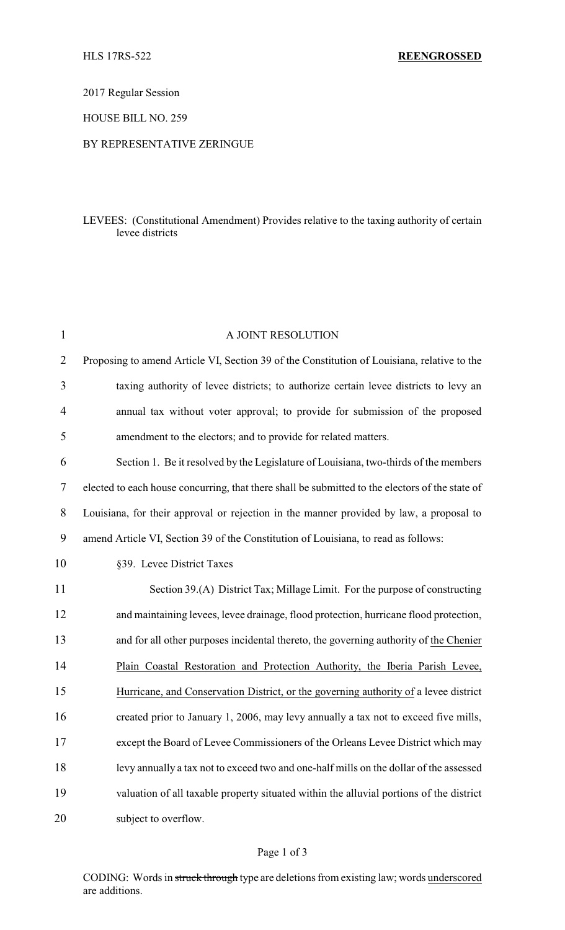2017 Regular Session

HOUSE BILL NO. 259

## BY REPRESENTATIVE ZERINGUE

## LEVEES: (Constitutional Amendment) Provides relative to the taxing authority of certain levee districts

| $\mathbf{1}$   | A JOINT RESOLUTION                                                                              |  |  |
|----------------|-------------------------------------------------------------------------------------------------|--|--|
| $\overline{2}$ | Proposing to amend Article VI, Section 39 of the Constitution of Louisiana, relative to the     |  |  |
| 3              | taxing authority of levee districts; to authorize certain levee districts to levy an            |  |  |
| $\overline{4}$ | annual tax without voter approval; to provide for submission of the proposed                    |  |  |
| 5              | amendment to the electors; and to provide for related matters.                                  |  |  |
| 6              | Section 1. Be it resolved by the Legislature of Louisiana, two-thirds of the members            |  |  |
| 7              | elected to each house concurring, that there shall be submitted to the electors of the state of |  |  |
| 8              | Louisiana, for their approval or rejection in the manner provided by law, a proposal to         |  |  |
| 9              | amend Article VI, Section 39 of the Constitution of Louisiana, to read as follows:              |  |  |
| 10             | §39. Levee District Taxes                                                                       |  |  |
| 11             | Section 39.(A) District Tax; Millage Limit. For the purpose of constructing                     |  |  |
| 12             | and maintaining levees, levee drainage, flood protection, hurricane flood protection,           |  |  |
| 13             | and for all other purposes incidental thereto, the governing authority of the Chenier           |  |  |
| 14             | Plain Coastal Restoration and Protection Authority, the Iberia Parish Levee,                    |  |  |
| 15             | Hurricane, and Conservation District, or the governing authority of a levee district            |  |  |
| 16             | created prior to January 1, 2006, may levy annually a tax not to exceed five mills,             |  |  |
| 17             | except the Board of Levee Commissioners of the Orleans Levee District which may                 |  |  |
| 18             | levy annually a tax not to exceed two and one-half mills on the dollar of the assessed          |  |  |
| 19             | valuation of all taxable property situated within the alluvial portions of the district         |  |  |
| 20             | subject to overflow.                                                                            |  |  |
|                |                                                                                                 |  |  |

## Page 1 of 3

CODING: Words in struck through type are deletions from existing law; words underscored are additions.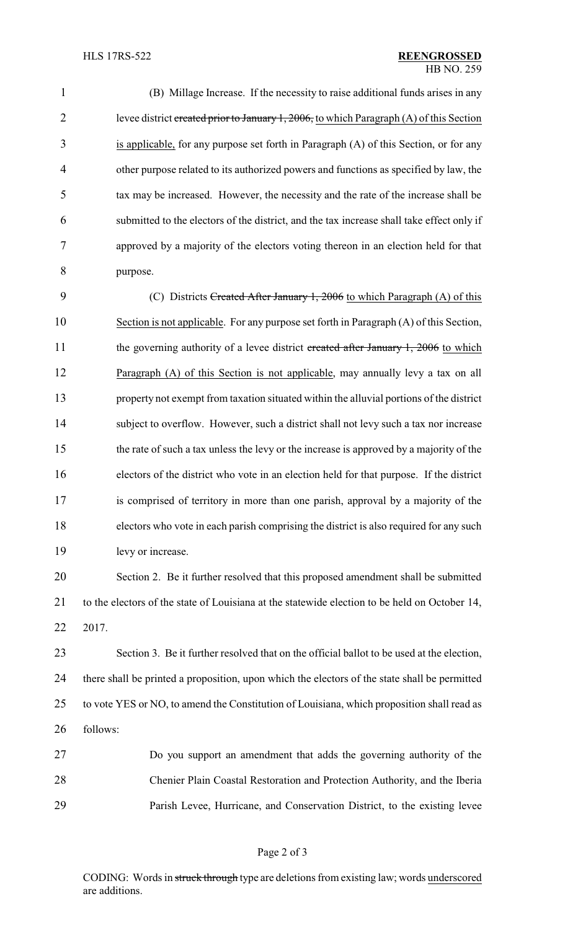(B) Millage Increase. If the necessity to raise additional funds arises in any 2 levee district created prior to January 1, 2006, to which Paragraph (A) of this Section is applicable, for any purpose set forth in Paragraph (A) of this Section, or for any other purpose related to its authorized powers and functions as specified by law, the tax may be increased. However, the necessity and the rate of the increase shall be submitted to the electors of the district, and the tax increase shall take effect only if approved by a majority of the electors voting thereon in an election held for that purpose.

9 (C) Districts Created After January 1, 2006 to which Paragraph (A) of this Section is not applicable. For any purpose set forth in Paragraph (A) of this Section, 11 the governing authority of a levee district created after January 1, 2006 to which 12 Paragraph (A) of this Section is not applicable, may annually levy a tax on all property not exempt from taxation situated within the alluvial portions of the district subject to overflow. However, such a district shall not levy such a tax nor increase the rate of such a tax unless the levy or the increase is approved by a majority of the electors of the district who vote in an election held for that purpose. If the district is comprised of territory in more than one parish, approval by a majority of the electors who vote in each parish comprising the district is also required for any such levy or increase.

 Section 2. Be it further resolved that this proposed amendment shall be submitted to the electors of the state of Louisiana at the statewide election to be held on October 14, 2017.

 Section 3. Be it further resolved that on the official ballot to be used at the election, there shall be printed a proposition, upon which the electors of the state shall be permitted to vote YES or NO, to amend the Constitution of Louisiana, which proposition shall read as follows:

 Do you support an amendment that adds the governing authority of the Chenier Plain Coastal Restoration and Protection Authority, and the Iberia Parish Levee, Hurricane, and Conservation District, to the existing levee

CODING: Words in struck through type are deletions from existing law; words underscored are additions.